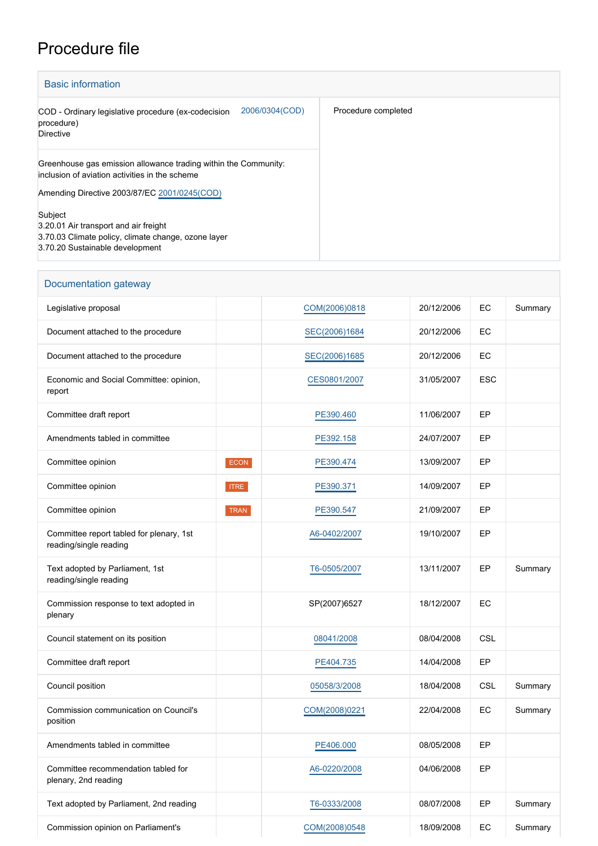## Procedure file

| <b>Basic information</b>                                                                                          |                     |  |  |  |  |  |  |
|-------------------------------------------------------------------------------------------------------------------|---------------------|--|--|--|--|--|--|
| 2006/0304(COD)<br>COD - Ordinary legislative procedure (ex-codecision<br>procedure)<br><b>Directive</b>           | Procedure completed |  |  |  |  |  |  |
| Greenhouse gas emission allowance trading within the Community:<br>inclusion of aviation activities in the scheme |                     |  |  |  |  |  |  |
| Amending Directive 2003/87/EC 2001/0245(COD)                                                                      |                     |  |  |  |  |  |  |
| Subject                                                                                                           |                     |  |  |  |  |  |  |
| 3.20.01 Air transport and air freight                                                                             |                     |  |  |  |  |  |  |
| 3.70.03 Climate policy, climate change, ozone layer<br>3.70.20 Sustainable development                            |                     |  |  |  |  |  |  |

| Documentation gateway                                              |             |               |            |            |         |  |
|--------------------------------------------------------------------|-------------|---------------|------------|------------|---------|--|
| Legislative proposal                                               |             | COM(2006)0818 | 20/12/2006 | EC         | Summary |  |
| Document attached to the procedure                                 |             | SEC(2006)1684 | 20/12/2006 | ЕC         |         |  |
| Document attached to the procedure                                 |             | SEC(2006)1685 | 20/12/2006 | EC         |         |  |
| Economic and Social Committee: opinion,<br>report                  |             | CES0801/2007  | 31/05/2007 | <b>ESC</b> |         |  |
| Committee draft report                                             |             | PE390.460     | 11/06/2007 | EP         |         |  |
| Amendments tabled in committee                                     |             | PE392.158     | 24/07/2007 | EP         |         |  |
| Committee opinion                                                  | ECON        | PE390.474     | 13/09/2007 | EP         |         |  |
| Committee opinion                                                  | <b>ITRE</b> | PE390.371     | 14/09/2007 | EP         |         |  |
| Committee opinion                                                  | <b>TRAN</b> | PE390.547     | 21/09/2007 | EP         |         |  |
| Committee report tabled for plenary, 1st<br>reading/single reading |             | A6-0402/2007  | 19/10/2007 | EP         |         |  |
| Text adopted by Parliament, 1st<br>reading/single reading          |             | T6-0505/2007  | 13/11/2007 | EP         | Summary |  |
| Commission response to text adopted in<br>plenary                  |             | SP(2007)6527  | 18/12/2007 | EC         |         |  |
| Council statement on its position                                  |             | 08041/2008    | 08/04/2008 | <b>CSL</b> |         |  |
| Committee draft report                                             |             | PE404.735     | 14/04/2008 | EP         |         |  |
| Council position                                                   |             | 05058/3/2008  | 18/04/2008 | <b>CSL</b> | Summary |  |
| Commission communication on Council's<br>position                  |             | COM(2008)0221 | 22/04/2008 | EC         | Summary |  |
| Amendments tabled in committee                                     |             | PE406.000     | 08/05/2008 | EP         |         |  |
| Committee recommendation tabled for<br>plenary, 2nd reading        |             | A6-0220/2008  | 04/06/2008 | EP         |         |  |
| Text adopted by Parliament, 2nd reading                            |             | T6-0333/2008  | 08/07/2008 | EP         | Summary |  |
| Commission opinion on Parliament's                                 |             | COM(2008)0548 | 18/09/2008 | EC         | Summary |  |